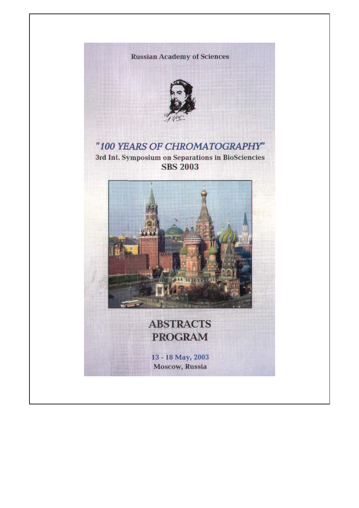## **Russian Academy of Sciences**



"100 YEARS OF CHROMATOGRAPHY" 3rd Int. Symposium on Separations in BioSciencies **SBS 2003** 



## **ABSTRACTS PROGRAM**

13 - 18 May, 2003 **Moscow, Russia**